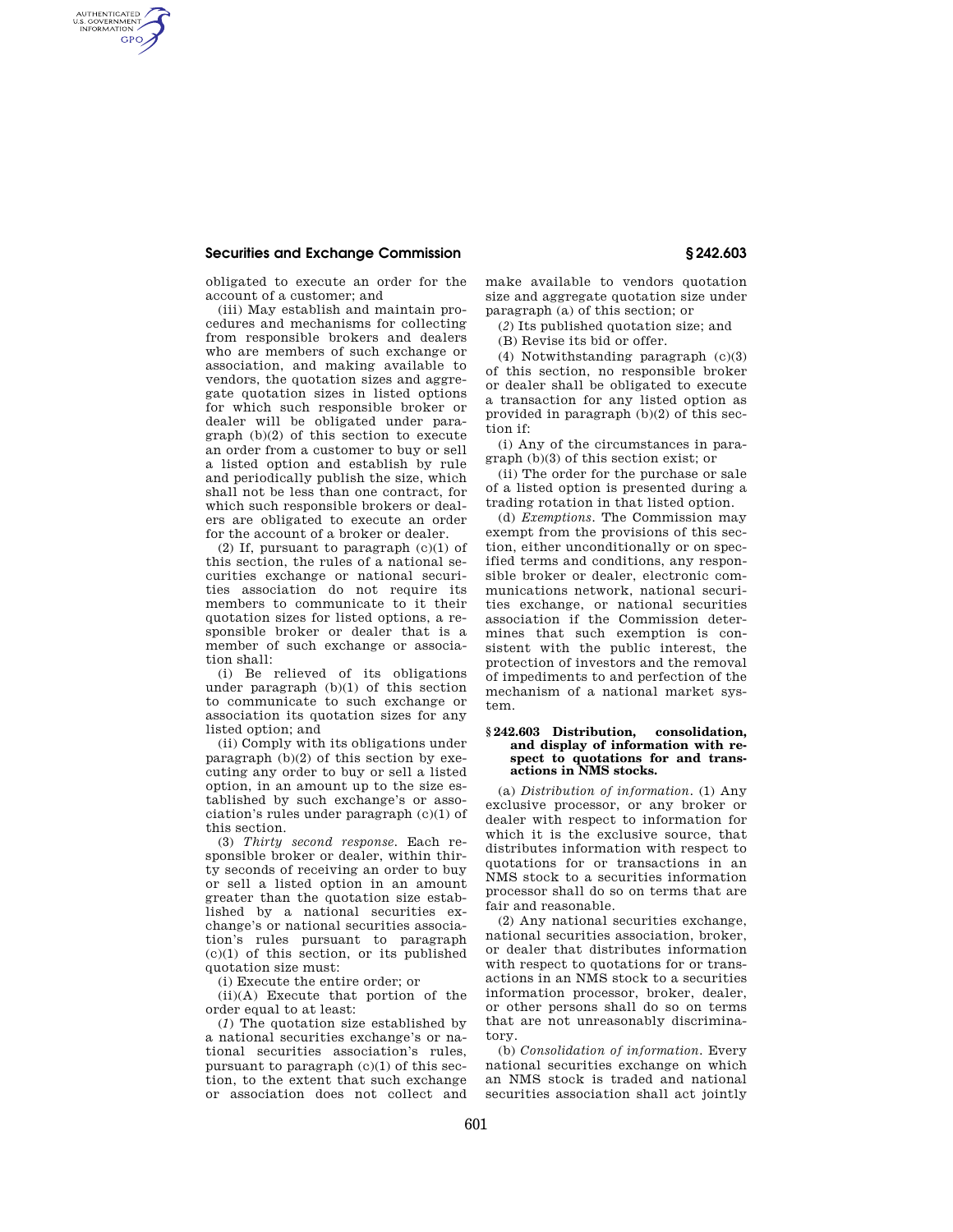## **Securities and Exchange Commission § 242.603**

AUTHENTICATED<br>U.S. GOVERNMENT<br>INFORMATION GPO

> obligated to execute an order for the account of a customer; and

(iii) May establish and maintain procedures and mechanisms for collecting from responsible brokers and dealers who are members of such exchange or association, and making available to vendors, the quotation sizes and aggregate quotation sizes in listed options for which such responsible broker or dealer will be obligated under paragraph (b)(2) of this section to execute an order from a customer to buy or sell a listed option and establish by rule and periodically publish the size, which shall not be less than one contract, for which such responsible brokers or dealers are obligated to execute an order for the account of a broker or dealer.

(2) If, pursuant to paragraph  $(c)(1)$  of this section, the rules of a national securities exchange or national securities association do not require its members to communicate to it their quotation sizes for listed options, a responsible broker or dealer that is a member of such exchange or association shall:

(i) Be relieved of its obligations under paragraph (b)(1) of this section to communicate to such exchange or association its quotation sizes for any listed option; and

(ii) Comply with its obligations under paragraph (b)(2) of this section by executing any order to buy or sell a listed option, in an amount up to the size established by such exchange's or association's rules under paragraph (c)(1) of this section.

(3) *Thirty second response.* Each responsible broker or dealer, within thirty seconds of receiving an order to buy or sell a listed option in an amount greater than the quotation size established by a national securities exchange's or national securities association's rules pursuant to paragraph (c)(1) of this section, or its published quotation size must:

(i) Execute the entire order; or

(ii)(A) Execute that portion of the order equal to at least:

(*1*) The quotation size established by a national securities exchange's or national securities association's rules, pursuant to paragraph  $(c)(1)$  of this section, to the extent that such exchange or association does not collect and make available to vendors quotation size and aggregate quotation size under paragraph (a) of this section; or

(*2*) Its published quotation size; and

(B) Revise its bid or offer.

(4) Notwithstanding paragraph (c)(3) of this section, no responsible broker or dealer shall be obligated to execute a transaction for any listed option as provided in paragraph (b)(2) of this section if:

(i) Any of the circumstances in paragraph (b)(3) of this section exist; or

(ii) The order for the purchase or sale of a listed option is presented during a trading rotation in that listed option.

(d) *Exemptions.* The Commission may exempt from the provisions of this section, either unconditionally or on specified terms and conditions, any responsible broker or dealer, electronic communications network, national securities exchange, or national securities association if the Commission determines that such exemption is consistent with the public interest, the protection of investors and the removal of impediments to and perfection of the mechanism of a national market system.

## **§ 242.603 Distribution, consolidation, and display of information with respect to quotations for and transactions in NMS stocks.**

(a) *Distribution of information.* (1) Any exclusive processor, or any broker or dealer with respect to information for which it is the exclusive source, that distributes information with respect to quotations for or transactions in an NMS stock to a securities information processor shall do so on terms that are fair and reasonable.

(2) Any national securities exchange, national securities association, broker, or dealer that distributes information with respect to quotations for or transactions in an NMS stock to a securities information processor, broker, dealer, or other persons shall do so on terms that are not unreasonably discriminatory.

(b) *Consolidation of information.* Every national securities exchange on which an NMS stock is traded and national securities association shall act jointly